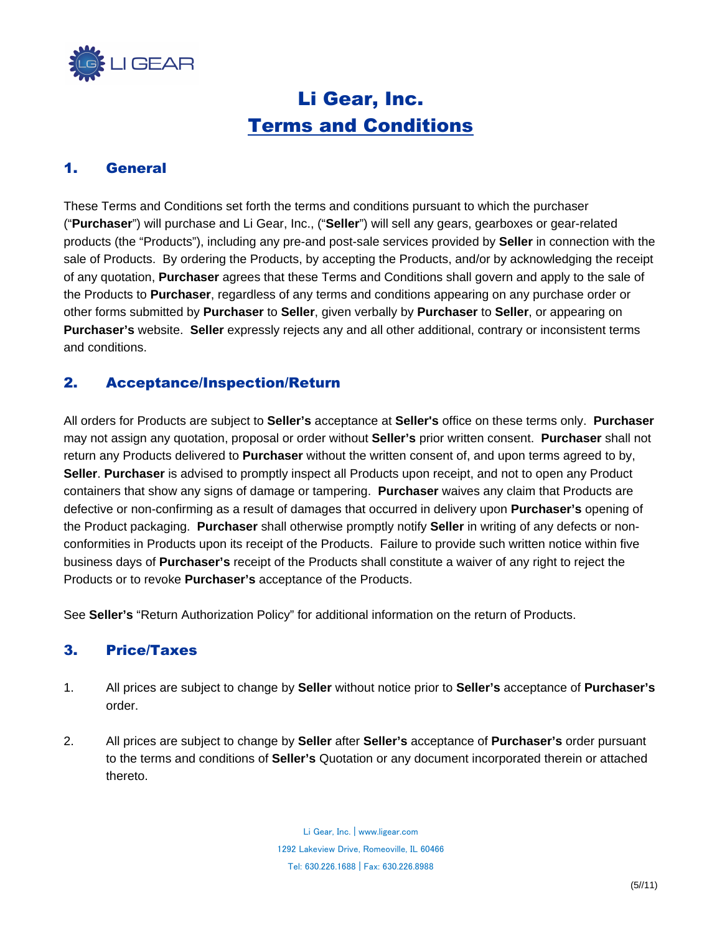

# Li Gear, Inc. Terms and Conditions

### 1. General

These Terms and Conditions set forth the terms and conditions pursuant to which the purchaser ("**Purchaser**") will purchase and Li Gear, Inc., ("**Seller**") will sell any gears, gearboxes or gear-related products (the "Products"), including any pre-and post-sale services provided by **Seller** in connection with the sale of Products. By ordering the Products, by accepting the Products, and/or by acknowledging the receipt of any quotation, **Purchaser** agrees that these Terms and Conditions shall govern and apply to the sale of the Products to **Purchaser**, regardless of any terms and conditions appearing on any purchase order or other forms submitted by **Purchaser** to **Seller**, given verbally by **Purchaser** to **Seller**, or appearing on **Purchaser's** website. **Seller** expressly rejects any and all other additional, contrary or inconsistent terms and conditions.

# 2. Acceptance/Inspection/Return

All orders for Products are subject to **Seller's** acceptance at **Seller's** office on these terms only. **Purchaser** may not assign any quotation, proposal or order without **Seller's** prior written consent. **Purchaser** shall not return any Products delivered to **Purchaser** without the written consent of, and upon terms agreed to by, **Seller**. **Purchaser** is advised to promptly inspect all Products upon receipt, and not to open any Product containers that show any signs of damage or tampering. **Purchaser** waives any claim that Products are defective or non-confirming as a result of damages that occurred in delivery upon **Purchaser's** opening of the Product packaging. **Purchaser** shall otherwise promptly notify **Seller** in writing of any defects or nonconformities in Products upon its receipt of the Products. Failure to provide such written notice within five business days of **Purchaser's** receipt of the Products shall constitute a waiver of any right to reject the Products or to revoke **Purchaser's** acceptance of the Products.

See **Seller's** "Return Authorization Policy" for additional information on the return of Products.

#### 3. Price/Taxes

- 1. All prices are subject to change by **Seller** without notice prior to **Seller's** acceptance of **Purchaser's** order.
- 2. All prices are subject to change by **Seller** after **Seller's** acceptance of **Purchaser's** order pursuant to the terms and conditions of **Seller's** Quotation or any document incorporated therein or attached thereto.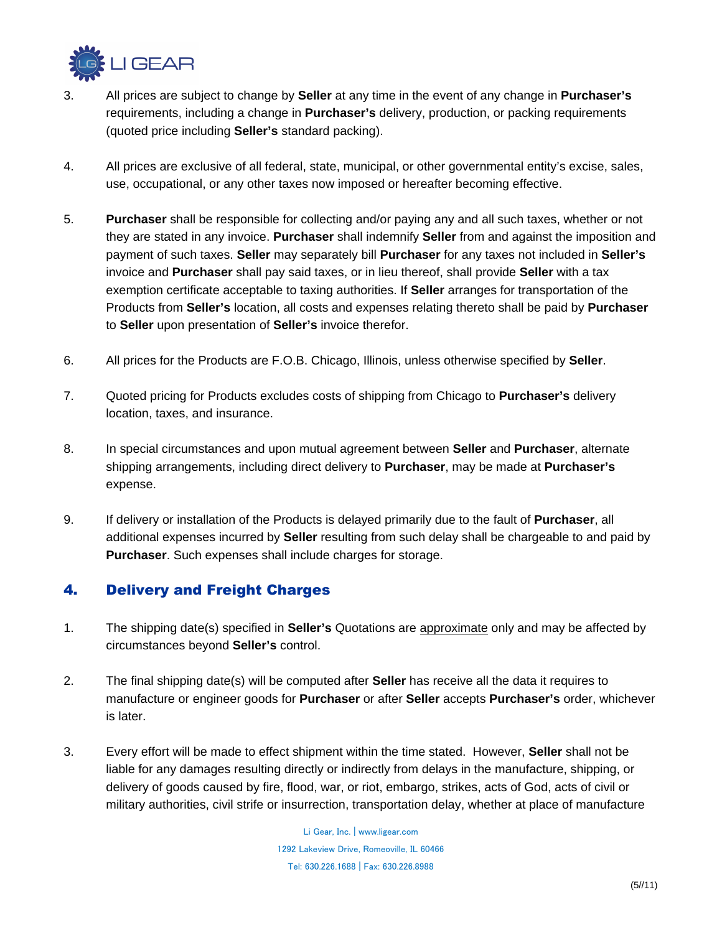

- 3. All prices are subject to change by **Seller** at any time in the event of any change in **Purchaser's** requirements, including a change in **Purchaser's** delivery, production, or packing requirements (quoted price including **Seller's** standard packing).
- 4. All prices are exclusive of all federal, state, municipal, or other governmental entity's excise, sales, use, occupational, or any other taxes now imposed or hereafter becoming effective.
- 5. **Purchaser** shall be responsible for collecting and/or paying any and all such taxes, whether or not they are stated in any invoice. **Purchaser** shall indemnify **Seller** from and against the imposition and payment of such taxes. **Seller** may separately bill **Purchaser** for any taxes not included in **Seller's** invoice and **Purchaser** shall pay said taxes, or in lieu thereof, shall provide **Seller** with a tax exemption certificate acceptable to taxing authorities. If **Seller** arranges for transportation of the Products from **Seller's** location, all costs and expenses relating thereto shall be paid by **Purchaser** to **Seller** upon presentation of **Seller's** invoice therefor.
- 6. All prices for the Products are F.O.B. Chicago, Illinois, unless otherwise specified by **Seller**.
- 7. Quoted pricing for Products excludes costs of shipping from Chicago to **Purchaser's** delivery location, taxes, and insurance.
- 8. In special circumstances and upon mutual agreement between **Seller** and **Purchaser**, alternate shipping arrangements, including direct delivery to **Purchaser**, may be made at **Purchaser's** expense.
- 9. If delivery or installation of the Products is delayed primarily due to the fault of **Purchaser**, all additional expenses incurred by **Seller** resulting from such delay shall be chargeable to and paid by **Purchaser**. Such expenses shall include charges for storage.

# 4. Delivery and Freight Charges

- 1. The shipping date(s) specified in **Seller's** Quotations are approximate only and may be affected by circumstances beyond **Seller's** control.
- 2. The final shipping date(s) will be computed after **Seller** has receive all the data it requires to manufacture or engineer goods for **Purchaser** or after **Seller** accepts **Purchaser's** order, whichever is later.
- 3. Every effort will be made to effect shipment within the time stated. However, **Seller** shall not be liable for any damages resulting directly or indirectly from delays in the manufacture, shipping, or delivery of goods caused by fire, flood, war, or riot, embargo, strikes, acts of God, acts of civil or military authorities, civil strife or insurrection, transportation delay, whether at place of manufacture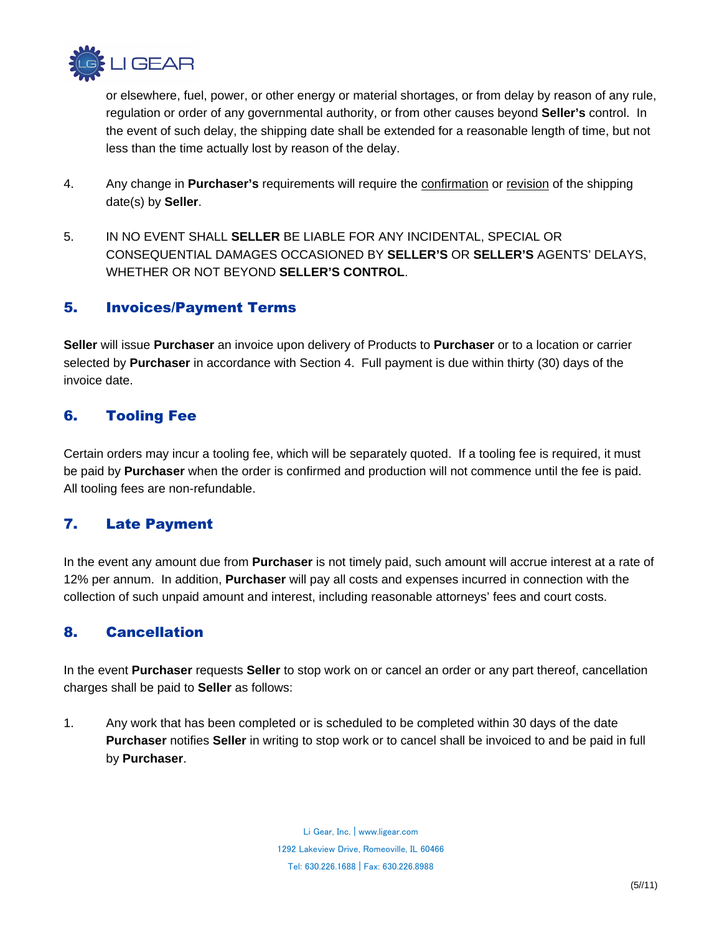

or elsewhere, fuel, power, or other energy or material shortages, or from delay by reason of any rule, regulation or order of any governmental authority, or from other causes beyond **Seller's** control. In the event of such delay, the shipping date shall be extended for a reasonable length of time, but not less than the time actually lost by reason of the delay.

- 4. Any change in **Purchaser's** requirements will require the confirmation or revision of the shipping date(s) by **Seller**.
- 5. IN NO EVENT SHALL **SELLER** BE LIABLE FOR ANY INCIDENTAL, SPECIAL OR CONSEQUENTIAL DAMAGES OCCASIONED BY **SELLER'S** OR **SELLER'S** AGENTS' DELAYS, WHETHER OR NOT BEYOND **SELLER'S CONTROL**.

### 5. Invoices/Payment Terms

**Seller** will issue **Purchaser** an invoice upon delivery of Products to **Purchaser** or to a location or carrier selected by **Purchaser** in accordance with Section 4. Full payment is due within thirty (30) days of the invoice date.

### 6. Tooling Fee

Certain orders may incur a tooling fee, which will be separately quoted. If a tooling fee is required, it must be paid by **Purchaser** when the order is confirmed and production will not commence until the fee is paid. All tooling fees are non-refundable.

# 7. Late Payment

In the event any amount due from **Purchaser** is not timely paid, such amount will accrue interest at a rate of 12% per annum. In addition, **Purchaser** will pay all costs and expenses incurred in connection with the collection of such unpaid amount and interest, including reasonable attorneys' fees and court costs.

# 8. Cancellation

In the event **Purchaser** requests **Seller** to stop work on or cancel an order or any part thereof, cancellation charges shall be paid to **Seller** as follows:

1. Any work that has been completed or is scheduled to be completed within 30 days of the date **Purchaser** notifies **Seller** in writing to stop work or to cancel shall be invoiced to and be paid in full by **Purchaser**.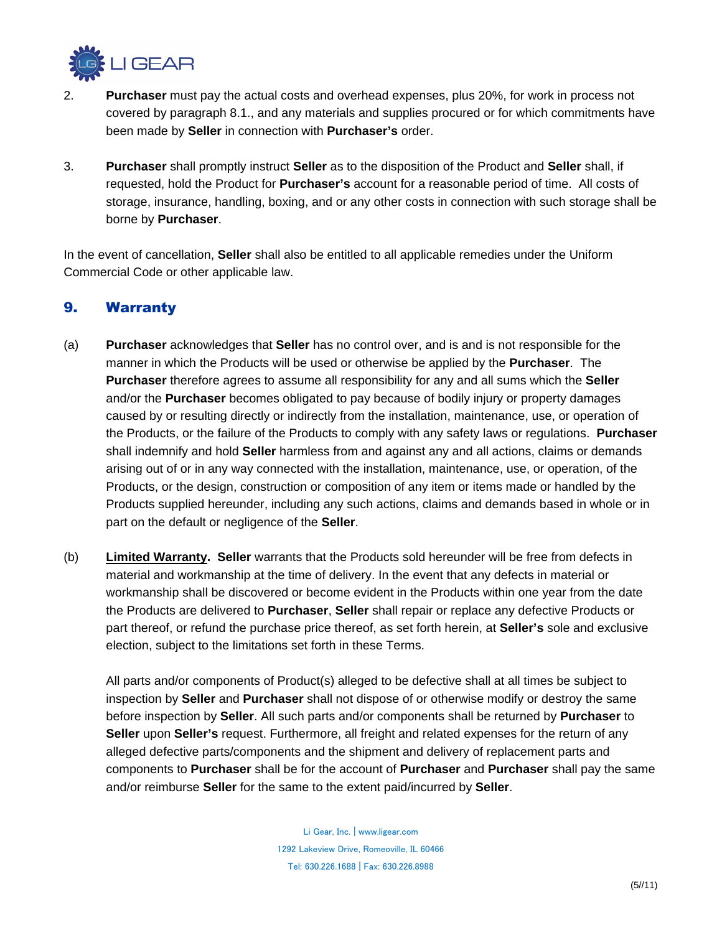

- 2. **Purchaser** must pay the actual costs and overhead expenses, plus 20%, for work in process not covered by paragraph 8.1., and any materials and supplies procured or for which commitments have been made by **Seller** in connection with **Purchaser's** order.
- 3. **Purchaser** shall promptly instruct **Seller** as to the disposition of the Product and **Seller** shall, if requested, hold the Product for **Purchaser's** account for a reasonable period of time. All costs of storage, insurance, handling, boxing, and or any other costs in connection with such storage shall be borne by **Purchaser**.

In the event of cancellation, **Seller** shall also be entitled to all applicable remedies under the Uniform Commercial Code or other applicable law.

#### 9. Warranty

- (a) **Purchaser** acknowledges that **Seller** has no control over, and is and is not responsible for the manner in which the Products will be used or otherwise be applied by the **Purchaser**. The **Purchaser** therefore agrees to assume all responsibility for any and all sums which the **Seller** and/or the **Purchaser** becomes obligated to pay because of bodily injury or property damages caused by or resulting directly or indirectly from the installation, maintenance, use, or operation of the Products, or the failure of the Products to comply with any safety laws or regulations. **Purchaser** shall indemnify and hold **Seller** harmless from and against any and all actions, claims or demands arising out of or in any way connected with the installation, maintenance, use, or operation, of the Products, or the design, construction or composition of any item or items made or handled by the Products supplied hereunder, including any such actions, claims and demands based in whole or in part on the default or negligence of the **Seller**.
- (b) **Limited Warranty. Seller** warrants that the Products sold hereunder will be free from defects in material and workmanship at the time of delivery. In the event that any defects in material or workmanship shall be discovered or become evident in the Products within one year from the date the Products are delivered to **Purchaser**, **Seller** shall repair or replace any defective Products or part thereof, or refund the purchase price thereof, as set forth herein, at **Seller's** sole and exclusive election, subject to the limitations set forth in these Terms.

All parts and/or components of Product(s) alleged to be defective shall at all times be subject to inspection by **Seller** and **Purchaser** shall not dispose of or otherwise modify or destroy the same before inspection by **Seller**. All such parts and/or components shall be returned by **Purchaser** to **Seller** upon **Seller's** request. Furthermore, all freight and related expenses for the return of any alleged defective parts/components and the shipment and delivery of replacement parts and components to **Purchaser** shall be for the account of **Purchaser** and **Purchaser** shall pay the same and/or reimburse **Seller** for the same to the extent paid/incurred by **Seller**.

> Li Gear, Inc. | www.ligear.com 1292 Lakeview Drive, Romeoville, IL 60466 Tel:630.226.1688 |Fax:630.226.8988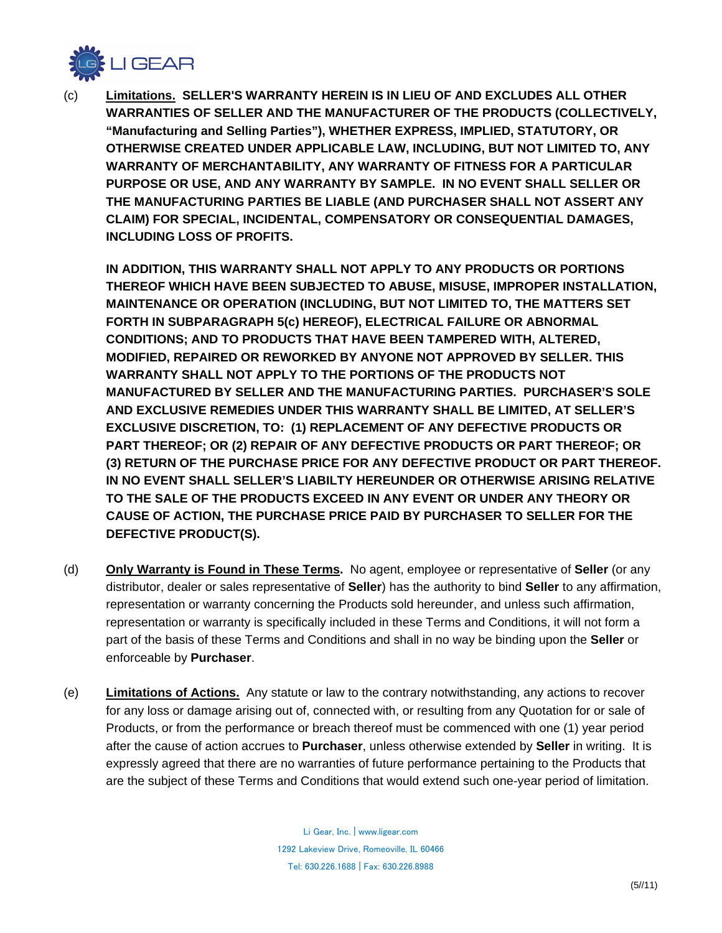

(c) **Limitations. SELLER'S WARRANTY HEREIN IS IN LIEU OF AND EXCLUDES ALL OTHER WARRANTIES OF SELLER AND THE MANUFACTURER OF THE PRODUCTS (COLLECTIVELY, "Manufacturing and Selling Parties"), WHETHER EXPRESS, IMPLIED, STATUTORY, OR OTHERWISE CREATED UNDER APPLICABLE LAW, INCLUDING, BUT NOT LIMITED TO, ANY WARRANTY OF MERCHANTABILITY, ANY WARRANTY OF FITNESS FOR A PARTICULAR PURPOSE OR USE, AND ANY WARRANTY BY SAMPLE. IN NO EVENT SHALL SELLER OR THE MANUFACTURING PARTIES BE LIABLE (AND PURCHASER SHALL NOT ASSERT ANY CLAIM) FOR SPECIAL, INCIDENTAL, COMPENSATORY OR CONSEQUENTIAL DAMAGES, INCLUDING LOSS OF PROFITS.**

**IN ADDITION, THIS WARRANTY SHALL NOT APPLY TO ANY PRODUCTS OR PORTIONS THEREOF WHICH HAVE BEEN SUBJECTED TO ABUSE, MISUSE, IMPROPER INSTALLATION, MAINTENANCE OR OPERATION (INCLUDING, BUT NOT LIMITED TO, THE MATTERS SET FORTH IN SUBPARAGRAPH 5(c) HEREOF), ELECTRICAL FAILURE OR ABNORMAL CONDITIONS; AND TO PRODUCTS THAT HAVE BEEN TAMPERED WITH, ALTERED, MODIFIED, REPAIRED OR REWORKED BY ANYONE NOT APPROVED BY SELLER. THIS WARRANTY SHALL NOT APPLY TO THE PORTIONS OF THE PRODUCTS NOT MANUFACTURED BY SELLER AND THE MANUFACTURING PARTIES. PURCHASER'S SOLE AND EXCLUSIVE REMEDIES UNDER THIS WARRANTY SHALL BE LIMITED, AT SELLER'S EXCLUSIVE DISCRETION, TO: (1) REPLACEMENT OF ANY DEFECTIVE PRODUCTS OR PART THEREOF; OR (2) REPAIR OF ANY DEFECTIVE PRODUCTS OR PART THEREOF; OR (3) RETURN OF THE PURCHASE PRICE FOR ANY DEFECTIVE PRODUCT OR PART THEREOF. IN NO EVENT SHALL SELLER'S LIABILTY HEREUNDER OR OTHERWISE ARISING RELATIVE TO THE SALE OF THE PRODUCTS EXCEED IN ANY EVENT OR UNDER ANY THEORY OR CAUSE OF ACTION, THE PURCHASE PRICE PAID BY PURCHASER TO SELLER FOR THE DEFECTIVE PRODUCT(S).**

- (d) **Only Warranty is Found in These Terms.** No agent, employee or representative of **Seller** (or any distributor, dealer or sales representative of **Seller**) has the authority to bind **Seller** to any affirmation, representation or warranty concerning the Products sold hereunder, and unless such affirmation, representation or warranty is specifically included in these Terms and Conditions, it will not form a part of the basis of these Terms and Conditions and shall in no way be binding upon the **Seller** or enforceable by **Purchaser**.
- (e) **Limitations of Actions.** Any statute or law to the contrary notwithstanding, any actions to recover for any loss or damage arising out of, connected with, or resulting from any Quotation for or sale of Products, or from the performance or breach thereof must be commenced with one (1) year period after the cause of action accrues to **Purchaser**, unless otherwise extended by **Seller** in writing. It is expressly agreed that there are no warranties of future performance pertaining to the Products that are the subject of these Terms and Conditions that would extend such one-year period of limitation.

Li Gear, Inc. | www.ligear.com 1292 Lakeview Drive, Romeoville, IL 60466 Tel:630.226.1688 |Fax:630.226.8988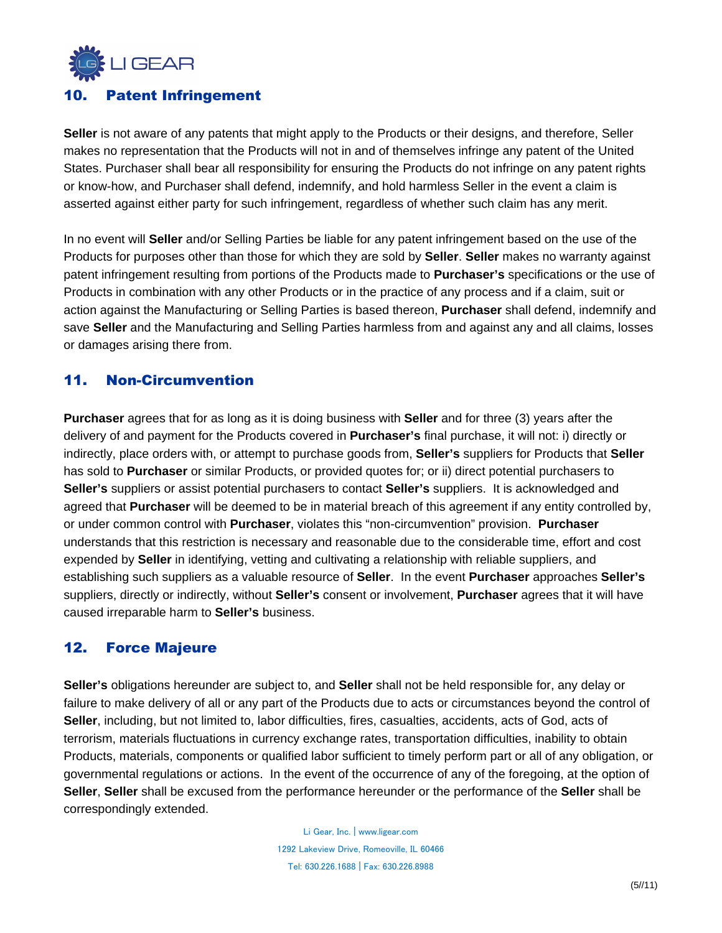

#### 10. Patent Infringement

**Seller** is not aware of any patents that might apply to the Products or their designs, and therefore, Seller makes no representation that the Products will not in and of themselves infringe any patent of the United States. Purchaser shall bear all responsibility for ensuring the Products do not infringe on any patent rights or know-how, and Purchaser shall defend, indemnify, and hold harmless Seller in the event a claim is asserted against either party for such infringement, regardless of whether such claim has any merit.

In no event will **Seller** and/or Selling Parties be liable for any patent infringement based on the use of the Products for purposes other than those for which they are sold by **Seller**. **Seller** makes no warranty against patent infringement resulting from portions of the Products made to **Purchaser's** specifications or the use of Products in combination with any other Products or in the practice of any process and if a claim, suit or action against the Manufacturing or Selling Parties is based thereon, **Purchaser** shall defend, indemnify and save **Seller** and the Manufacturing and Selling Parties harmless from and against any and all claims, losses or damages arising there from.

# 11. Non-Circumvention

**Purchaser** agrees that for as long as it is doing business with **Seller** and for three (3) years after the delivery of and payment for the Products covered in **Purchaser's** final purchase, it will not: i) directly or indirectly, place orders with, or attempt to purchase goods from, **Seller's** suppliers for Products that **Seller** has sold to **Purchaser** or similar Products, or provided quotes for; or ii) direct potential purchasers to **Seller's** suppliers or assist potential purchasers to contact **Seller's** suppliers. It is acknowledged and agreed that **Purchaser** will be deemed to be in material breach of this agreement if any entity controlled by, or under common control with **Purchaser**, violates this "non-circumvention" provision. **Purchaser** understands that this restriction is necessary and reasonable due to the considerable time, effort and cost expended by **Seller** in identifying, vetting and cultivating a relationship with reliable suppliers, and establishing such suppliers as a valuable resource of **Seller**. In the event **Purchaser** approaches **Seller's** suppliers, directly or indirectly, without **Seller's** consent or involvement, **Purchaser** agrees that it will have caused irreparable harm to **Seller's** business.

#### 12. Force Majeure

**Seller's** obligations hereunder are subject to, and **Seller** shall not be held responsible for, any delay or failure to make delivery of all or any part of the Products due to acts or circumstances beyond the control of **Seller**, including, but not limited to, labor difficulties, fires, casualties, accidents, acts of God, acts of terrorism, materials fluctuations in currency exchange rates, transportation difficulties, inability to obtain Products, materials, components or qualified labor sufficient to timely perform part or all of any obligation, or governmental regulations or actions. In the event of the occurrence of any of the foregoing, at the option of **Seller**, **Seller** shall be excused from the performance hereunder or the performance of the **Seller** shall be correspondingly extended.

> Li Gear, Inc. | www.ligear.com 1292 Lakeview Drive, Romeoville, IL 60466 Tel:630.226.1688 |Fax:630.226.8988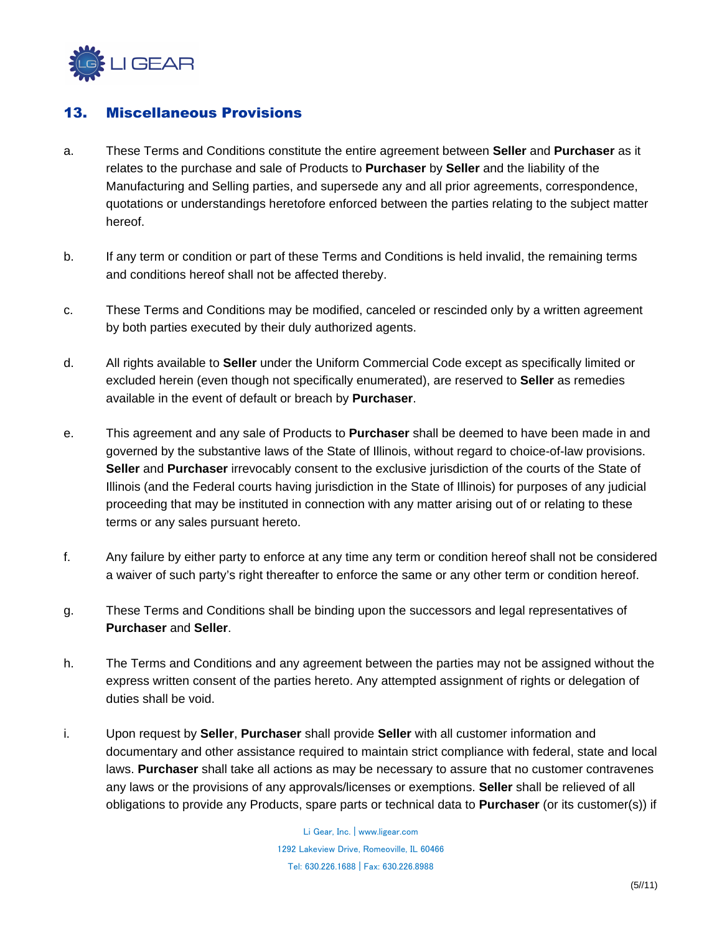

### 13. Miscellaneous Provisions

- a. These Terms and Conditions constitute the entire agreement between **Seller** and **Purchaser** as it relates to the purchase and sale of Products to **Purchaser** by **Seller** and the liability of the Manufacturing and Selling parties, and supersede any and all prior agreements, correspondence, quotations or understandings heretofore enforced between the parties relating to the subject matter hereof.
- b. If any term or condition or part of these Terms and Conditions is held invalid, the remaining terms and conditions hereof shall not be affected thereby.
- c. These Terms and Conditions may be modified, canceled or rescinded only by a written agreement by both parties executed by their duly authorized agents.
- d. All rights available to **Seller** under the Uniform Commercial Code except as specifically limited or excluded herein (even though not specifically enumerated), are reserved to **Seller** as remedies available in the event of default or breach by **Purchaser**.
- e. This agreement and any sale of Products to **Purchaser** shall be deemed to have been made in and governed by the substantive laws of the State of Illinois, without regard to choice-of-law provisions. **Seller** and **Purchaser** irrevocably consent to the exclusive jurisdiction of the courts of the State of Illinois (and the Federal courts having jurisdiction in the State of Illinois) for purposes of any judicial proceeding that may be instituted in connection with any matter arising out of or relating to these terms or any sales pursuant hereto.
- f. Any failure by either party to enforce at any time any term or condition hereof shall not be considered a waiver of such party's right thereafter to enforce the same or any other term or condition hereof.
- g. These Terms and Conditions shall be binding upon the successors and legal representatives of **Purchaser** and **Seller**.
- h. The Terms and Conditions and any agreement between the parties may not be assigned without the express written consent of the parties hereto. Any attempted assignment of rights or delegation of duties shall be void.
- i. Upon request by **Seller**, **Purchaser** shall provide **Seller** with all customer information and documentary and other assistance required to maintain strict compliance with federal, state and local laws. **Purchaser** shall take all actions as may be necessary to assure that no customer contravenes any laws or the provisions of any approvals/licenses or exemptions. **Seller** shall be relieved of all obligations to provide any Products, spare parts or technical data to **Purchaser** (or its customer(s)) if